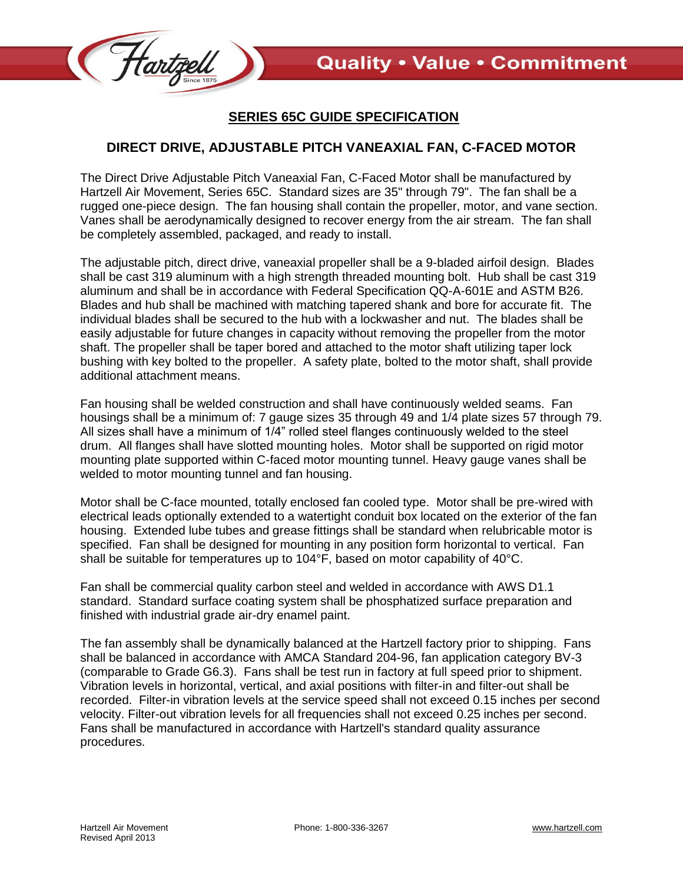

## **SERIES 65C GUIDE SPECIFICATION**

## **DIRECT DRIVE, ADJUSTABLE PITCH VANEAXIAL FAN, C-FACED MOTOR**

The Direct Drive Adjustable Pitch Vaneaxial Fan, C-Faced Motor shall be manufactured by Hartzell Air Movement, Series 65C. Standard sizes are 35" through 79". The fan shall be a rugged one-piece design. The fan housing shall contain the propeller, motor, and vane section. Vanes shall be aerodynamically designed to recover energy from the air stream. The fan shall be completely assembled, packaged, and ready to install.

The adjustable pitch, direct drive, vaneaxial propeller shall be a 9-bladed airfoil design. Blades shall be cast 319 aluminum with a high strength threaded mounting bolt. Hub shall be cast 319 aluminum and shall be in accordance with Federal Specification QQ-A-601E and ASTM B26. Blades and hub shall be machined with matching tapered shank and bore for accurate fit. The individual blades shall be secured to the hub with a lockwasher and nut. The blades shall be easily adjustable for future changes in capacity without removing the propeller from the motor shaft. The propeller shall be taper bored and attached to the motor shaft utilizing taper lock bushing with key bolted to the propeller. A safety plate, bolted to the motor shaft, shall provide additional attachment means.

Fan housing shall be welded construction and shall have continuously welded seams. Fan housings shall be a minimum of: 7 gauge sizes 35 through 49 and 1/4 plate sizes 57 through 79. All sizes shall have a minimum of 1/4" rolled steel flanges continuously welded to the steel drum. All flanges shall have slotted mounting holes. Motor shall be supported on rigid motor mounting plate supported within C-faced motor mounting tunnel. Heavy gauge vanes shall be welded to motor mounting tunnel and fan housing.

Motor shall be C-face mounted, totally enclosed fan cooled type. Motor shall be pre-wired with electrical leads optionally extended to a watertight conduit box located on the exterior of the fan housing. Extended lube tubes and grease fittings shall be standard when relubricable motor is specified. Fan shall be designed for mounting in any position form horizontal to vertical. Fan shall be suitable for temperatures up to 104°F, based on motor capability of 40°C.

Fan shall be commercial quality carbon steel and welded in accordance with AWS D1.1 standard. Standard surface coating system shall be phosphatized surface preparation and finished with industrial grade air-dry enamel paint.

The fan assembly shall be dynamically balanced at the Hartzell factory prior to shipping. Fans shall be balanced in accordance with AMCA Standard 204-96, fan application category BV-3 (comparable to Grade G6.3). Fans shall be test run in factory at full speed prior to shipment. Vibration levels in horizontal, vertical, and axial positions with filter-in and filter-out shall be recorded. Filter-in vibration levels at the service speed shall not exceed 0.15 inches per second velocity. Filter-out vibration levels for all frequencies shall not exceed 0.25 inches per second. Fans shall be manufactured in accordance with Hartzell's standard quality assurance procedures.